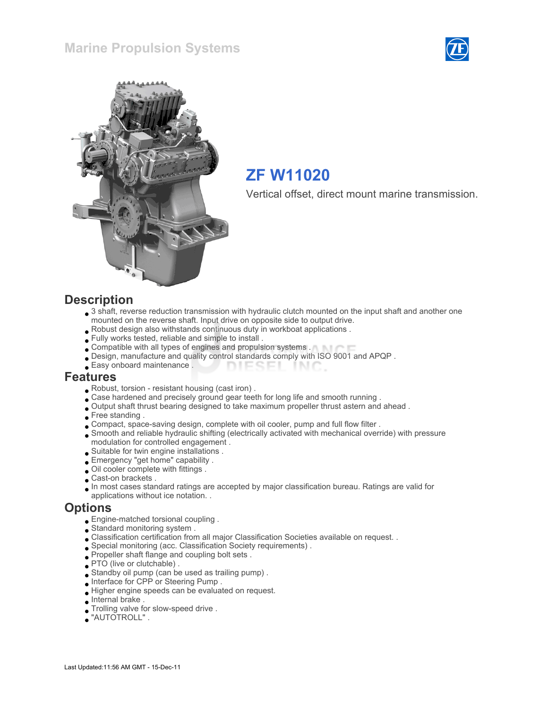



# ZF W11020

Vertical offset, direct mount marine transmission.

#### **Description**

- 3 shaft, reverse reduction transmission with hydraulic clutch mounted on the input shaft and another one mounted on the reverse shaft. Input drive on opposite side to output drive.
- Robust design also withstands continuous duty in workboat applications .
- Fully works tested, reliable and simple to install .
- Compatible with all types of engines and propulsion systems .
- Design, manufacture and quality control standards comply with ISO 9001 and APQP .
- Easy onboard maintenance . **DIESEI** INIC

#### Features

- Robust, torsion resistant housing (cast iron) .
- . Case hardened and precisely ground gear teeth for long life and smooth running .
- Output shaft thrust bearing designed to take maximum propeller thrust astern and ahead .
- Free standing .
- Compact, space-saving design, complete with oil cooler, pump and full flow filter .
- Smooth and reliable hydraulic shifting (electrically activated with mechanical override) with pressure modulation for controlled engagement .
- Suitable for twin engine installations .
- Emergency "get home" capability .
- Oil cooler complete with fittings .
- Cast-on brackets .
- In most cases standard ratings are accepted by major classification bureau. Ratings are valid for applications without ice notation. .

#### **Options**

- Engine-matched torsional coupling .
- Standard monitoring system .
- Classification certification from all major Classification Societies available on request. .
- Special monitoring (acc. Classification Society requirements) .
- Propeller shaft flange and coupling bolt sets .
- PTO (live or clutchable).
- Standby oil pump (can be used as trailing pump) .
- Interface for CPP or Steering Pump .
- Higher engine speeds can be evaluated on request.
- Internal brake .
- Trolling valve for slow-speed drive .
- "AUTOTROLL" .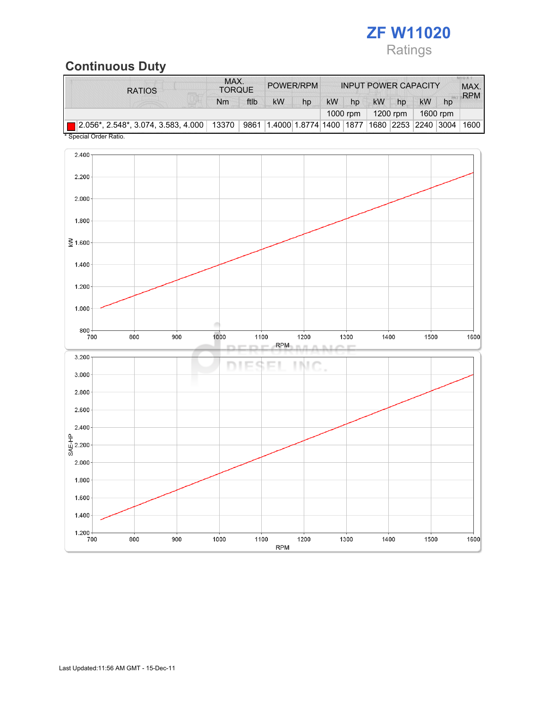

# Continuous Duty

| <b>RATIOS</b>                                                                                                           | MAX.<br><b>TORQUE</b> |      | POWER/RPM                                                        |    | <b>INPUT POWER CAPACITY</b> |          |           |    |          |    | <b>ALICE AT IT</b><br>MAX.<br><b>RPM</b> |
|-------------------------------------------------------------------------------------------------------------------------|-----------------------|------|------------------------------------------------------------------|----|-----------------------------|----------|-----------|----|----------|----|------------------------------------------|
|                                                                                                                         | Nm                    | ftlb | <b>kW</b>                                                        | hp | <b>kW</b>                   | hp       | <b>kW</b> | hp | kW       | hp |                                          |
|                                                                                                                         |                       |      |                                                                  |    |                             | 1000 rpm | 1200 rpm  |    | 1600 rpm |    |                                          |
| $\vert$   2.056*, 2.548*, 3.074, 3.583, 4.000   13370  <br>$*$ $O_{\text{model}}$ $O_{\text{model}}$ $O_{\text{model}}$ |                       |      | 9861   1.4000   1.8774   1400   1877   1680   2253   2240   3004 |    |                             |          |           |    |          |    | 1600                                     |

Special Order Ratio.

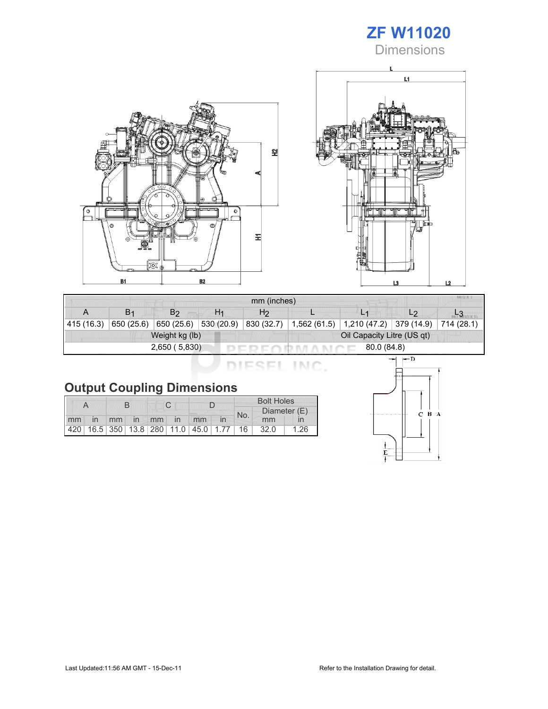# ZF W11020

**Dimensions** 





| MILLY.<br>mm (inches) |                       |                |                |                            |              |                           |                |            |  |  |
|-----------------------|-----------------------|----------------|----------------|----------------------------|--------------|---------------------------|----------------|------------|--|--|
|                       | <b>B</b> <sub>1</sub> | B <sub>2</sub> | H <sub>1</sub> | H <sub>2</sub>             |              |                           | L <sub>2</sub> |            |  |  |
| 415 (16.3)            | 650 (25.6)            | 650 $(25.6)$   | 530 (20.9)     | 830 (32.7)                 | 1,562 (61.5) | 1,210 (47.2)   379 (14.9) |                | 714 (28.1) |  |  |
|                       |                       | Weight kg (lb) |                | Oil Capacity Litre (US qt) |              |                           |                |            |  |  |
|                       |                       | 2,650 (5,830)  |                | 80.0 (84.8)                |              |                           |                |            |  |  |

DIESEL INC.

| <b>Output Coupling Dimensions</b> |
|-----------------------------------|
|-----------------------------------|

|    |    |  |  |             |                                         | <b>Bolt Holes</b> |              |      |      |
|----|----|--|--|-------------|-----------------------------------------|-------------------|--------------|------|------|
|    |    |  |  |             |                                         | No.               | Diameter (E) |      |      |
| mm | in |  |  | mm in mm in | mm                                      |                   |              | mm   |      |
|    |    |  |  |             | 420 16.5 350 13.8 280 11.0 45.0 1.77 16 |                   |              | 32.0 | 1.26 |